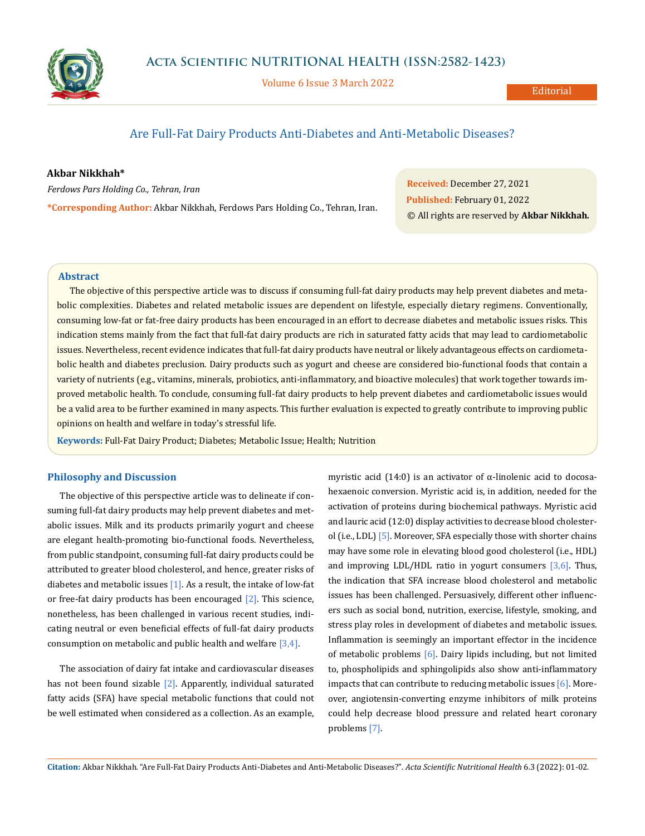

Volume 6 Issue 3 March 2022

# Are Full-Fat Dairy Products Anti-Diabetes and Anti-Metabolic Diseases?

## **Akbar Nikkhah\***

*Ferdows Pars Holding Co., Tehran, Iran*

**\*Corresponding Author:** Akbar Nikkhah, Ferdows Pars Holding Co., Tehran, Iran.

**Received:** December 27, 2021 **Published:** February 01, 2022 © All rights are reserved by **Akbar Nikkhah***.*

## **Abstract**

The objective of this perspective article was to discuss if consuming full-fat dairy products may help prevent diabetes and metabolic complexities. Diabetes and related metabolic issues are dependent on lifestyle, especially dietary regimens. Conventionally, consuming low-fat or fat-free dairy products has been encouraged in an effort to decrease diabetes and metabolic issues risks. This indication stems mainly from the fact that full-fat dairy products are rich in saturated fatty acids that may lead to cardiometabolic issues. Nevertheless, recent evidence indicates that full-fat dairy products have neutral or likely advantageous effects on cardiometabolic health and diabetes preclusion. Dairy products such as yogurt and cheese are considered bio-functional foods that contain a variety of nutrients (e.g., vitamins, minerals, probiotics, anti-inflammatory, and bioactive molecules) that work together towards improved metabolic health. To conclude, consuming full-fat dairy products to help prevent diabetes and cardiometabolic issues would be a valid area to be further examined in many aspects. This further evaluation is expected to greatly contribute to improving public opinions on health and welfare in today's stressful life.

**Keywords:** Full-Fat Dairy Product; Diabetes; Metabolic Issue; Health; Nutrition

# **Philosophy and Discussion**

The objective of this perspective article was to delineate if consuming full-fat dairy products may help prevent diabetes and metabolic issues. Milk and its products primarily yogurt and cheese are elegant health-promoting bio-functional foods. Nevertheless, from public standpoint, consuming full-fat dairy products could be attributed to greater blood cholesterol, and hence, greater risks of diabetes and metabolic issues  $[1]$ . As a result, the intake of low-fat or free-fat dairy products has been encouraged  $[2]$ . This science, nonetheless, has been challenged in various recent studies, indicating neutral or even beneficial effects of full-fat dairy products consumption on metabolic and public health and welfare [3,4].

The association of dairy fat intake and cardiovascular diseases has not been found sizable  $[2]$ . Apparently, individual saturated fatty acids (SFA) have special metabolic functions that could not be well estimated when considered as a collection. As an example, myristic acid (14:0) is an activator of  $\alpha$ -linolenic acid to docosahexaenoic conversion. Myristic acid is, in addition, needed for the activation of proteins during biochemical pathways. Myristic acid and lauric acid (12:0) display activities to decrease blood cholesterol (i.e., LDL) [5]. Moreover, SFA especially those with shorter chains may have some role in elevating blood good cholesterol (i.e., HDL) and improving LDL/HDL ratio in yogurt consumers  $[3,6]$ . Thus, the indication that SFA increase blood cholesterol and metabolic issues has been challenged. Persuasively, different other influencers such as social bond, nutrition, exercise, lifestyle, smoking, and stress play roles in development of diabetes and metabolic issues. Inflammation is seemingly an important effector in the incidence of metabolic problems [6]. Dairy lipids including, but not limited to, phospholipids and sphingolipids also show anti-inflammatory impacts that can contribute to reducing metabolic issues [6]. Moreover, angiotensin-converting enzyme inhibitors of milk proteins could help decrease blood pressure and related heart coronary problems [7].

**Citation:** Akbar Nikkhah*.* "Are Full-Fat Dairy Products Anti-Diabetes and Anti-Metabolic Diseases?". *Acta Scientific Nutritional Health* 6.3 (2022): 01-02.